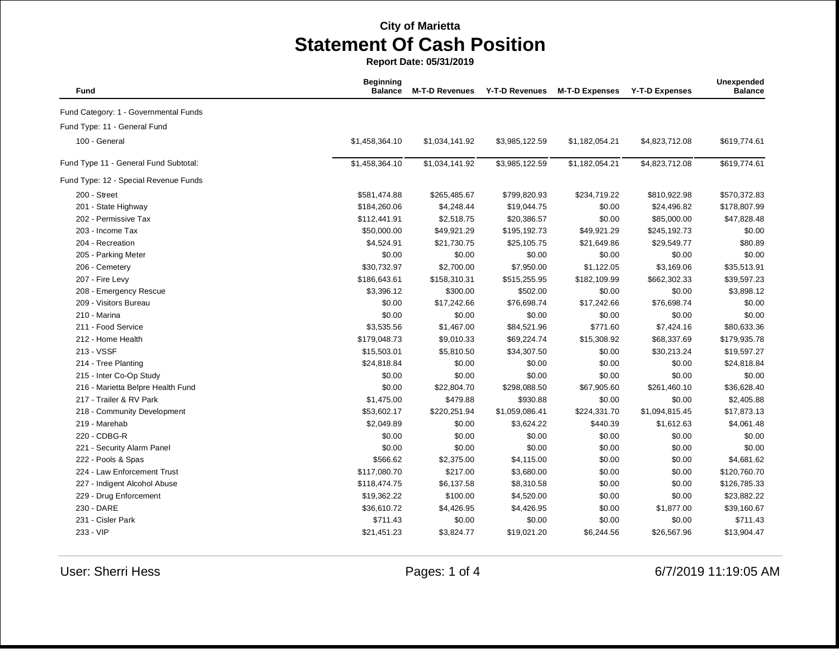| Fund                                  | <b>Beginning</b><br><b>Balance</b> | <b>M-T-D Revenues</b> | <b>Y-T-D Revenues</b> | <b>M-T-D Expenses</b> | <b>Y-T-D Expenses</b> | Unexpended<br><b>Balance</b> |
|---------------------------------------|------------------------------------|-----------------------|-----------------------|-----------------------|-----------------------|------------------------------|
| Fund Category: 1 - Governmental Funds |                                    |                       |                       |                       |                       |                              |
| Fund Type: 11 - General Fund          |                                    |                       |                       |                       |                       |                              |
| 100 - General                         | \$1,458,364.10                     | \$1,034,141.92        | \$3,985,122.59        | \$1,182,054.21        | \$4,823,712.08        | \$619,774.61                 |
| Fund Type 11 - General Fund Subtotal: | \$1,458,364.10                     | \$1,034,141.92        | \$3,985,122.59        | \$1,182,054.21        | \$4,823,712.08        | \$619,774.61                 |
| Fund Type: 12 - Special Revenue Funds |                                    |                       |                       |                       |                       |                              |
| 200 - Street                          | \$581,474.88                       | \$265,485.67          | \$799,820.93          | \$234,719.22          | \$810,922.98          | \$570,372.83                 |
| 201 - State Highway                   | \$184,260.06                       | \$4,248.44            | \$19,044.75           | \$0.00                | \$24,496.82           | \$178,807.99                 |
| 202 - Permissive Tax                  | \$112,441.91                       | \$2,518.75            | \$20,386.57           | \$0.00                | \$85,000.00           | \$47,828.48                  |
| 203 - Income Tax                      | \$50,000.00                        | \$49,921.29           | \$195,192.73          | \$49,921.29           | \$245,192.73          | \$0.00                       |
| 204 - Recreation                      | \$4,524.91                         | \$21,730.75           | \$25,105.75           | \$21,649.86           | \$29,549.77           | \$80.89                      |
| 205 - Parking Meter                   | \$0.00                             | \$0.00                | \$0.00                | \$0.00                | \$0.00                | \$0.00                       |
| 206 - Cemetery                        | \$30,732.97                        | \$2,700.00            | \$7,950.00            | \$1,122.05            | \$3,169.06            | \$35,513.91                  |
| 207 - Fire Levy                       | \$186,643.61                       | \$158,310.31          | \$515,255.95          | \$182,109.99          | \$662,302.33          | \$39,597.23                  |
| 208 - Emergency Rescue                | \$3,396.12                         | \$300.00              | \$502.00              | \$0.00                | \$0.00                | \$3,898.12                   |
| 209 - Visitors Bureau                 | \$0.00                             | \$17,242.66           | \$76,698.74           | \$17,242.66           | \$76,698.74           | \$0.00                       |
| 210 - Marina                          | \$0.00                             | \$0.00                | \$0.00                | \$0.00                | \$0.00                | \$0.00                       |
| 211 - Food Service                    | \$3,535.56                         | \$1,467.00            | \$84,521.96           | \$771.60              | \$7,424.16            | \$80,633.36                  |
| 212 - Home Health                     | \$179,048.73                       | \$9,010.33            | \$69,224.74           | \$15,308.92           | \$68,337.69           | \$179,935.78                 |
| 213 - VSSF                            | \$15,503.01                        | \$5,810.50            | \$34,307.50           | \$0.00                | \$30,213.24           | \$19,597.27                  |
| 214 - Tree Planting                   | \$24,818.84                        | \$0.00                | \$0.00                | \$0.00                | \$0.00                | \$24,818.84                  |
| 215 - Inter Co-Op Study               | \$0.00                             | \$0.00                | \$0.00                | \$0.00                | \$0.00                | \$0.00                       |
| 216 - Marietta Belpre Health Fund     | \$0.00                             | \$22,804.70           | \$298,088.50          | \$67,905.60           | \$261,460.10          | \$36,628.40                  |
| 217 - Trailer & RV Park               | \$1,475.00                         | \$479.88              | \$930.88              | \$0.00                | \$0.00                | \$2,405.88                   |
| 218 - Community Development           | \$53,602.17                        | \$220,251.94          | \$1,059,086.41        | \$224,331.70          | \$1,094,815.45        | \$17,873.13                  |
| 219 - Marehab                         | \$2,049.89                         | \$0.00                | \$3,624.22            | \$440.39              | \$1,612.63            | \$4,061.48                   |
| 220 - CDBG-R                          | \$0.00                             | \$0.00                | \$0.00                | \$0.00                | \$0.00                | \$0.00                       |
| 221 - Security Alarm Panel            | \$0.00                             | \$0.00                | \$0.00                | \$0.00                | \$0.00                | \$0.00                       |
| 222 - Pools & Spas                    | \$566.62                           | \$2,375.00            | \$4,115.00            | \$0.00                | \$0.00                | \$4,681.62                   |
| 224 - Law Enforcement Trust           | \$117,080.70                       | \$217.00              | \$3,680.00            | \$0.00                | \$0.00                | \$120,760.70                 |
| 227 - Indigent Alcohol Abuse          | \$118,474.75                       | \$6,137.58            | \$8,310.58            | \$0.00                | \$0.00                | \$126,785.33                 |
| 229 - Drug Enforcement                | \$19,362.22                        | \$100.00              | \$4,520.00            | \$0.00                | \$0.00                | \$23,882.22                  |
| 230 - DARE                            | \$36,610.72                        | \$4,426.95            | \$4,426.95            | \$0.00                | \$1,877.00            | \$39,160.67                  |
| 231 - Cisler Park                     | \$711.43                           | \$0.00                | \$0.00                | \$0.00                | \$0.00                | \$711.43                     |
| 233 - VIP                             | \$21,451.23                        | \$3,824.77            | \$19,021.20           | \$6,244.56            | \$26,567.96           | \$13,904.47                  |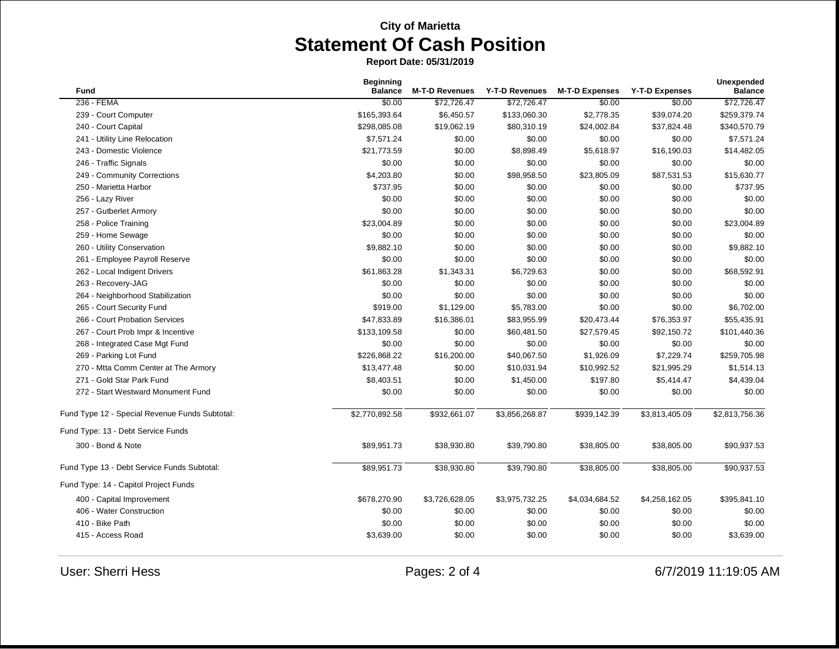| <b>Fund</b>                                    | <b>Beginning</b><br><b>Balance</b> | <b>M-T-D Revenues</b> | Y-T-D Revenues | <b>M-T-D Expenses</b> | Y-T-D Expenses | Unexpended<br><b>Balance</b> |
|------------------------------------------------|------------------------------------|-----------------------|----------------|-----------------------|----------------|------------------------------|
| 236 - FEMA                                     | \$0.00                             | \$72,726.47           | \$72,726.47    | \$0.00                | \$0.00         | \$72,726.47                  |
| 239 - Court Computer                           | \$165,393.64                       | \$6,450.57            | \$133,060.30   | \$2,778.35            | \$39,074.20    | \$259,379.74                 |
| 240 - Court Capital                            | \$298,085.08                       | \$19,062.19           | \$80,310.19    | \$24,002.84           | \$37,824.48    | \$340,570.79                 |
| 241 - Utility Line Relocation                  | \$7,571.24                         | \$0.00                | \$0.00         | \$0.00                | \$0.00         | \$7,571.24                   |
| 243 - Domestic Violence                        | \$21,773.59                        | \$0.00                | \$8,898.49     | \$5,618.97            | \$16,190.03    | \$14,482.05                  |
| 246 - Traffic Signals                          | \$0.00                             | \$0.00                | \$0.00         | \$0.00                | \$0.00         | \$0.00                       |
| 249 - Community Corrections                    | \$4,203.80                         | \$0.00                | \$98,958.50    | \$23,805.09           | \$87,531.53    | \$15,630.77                  |
| 250 - Marietta Harbor                          | \$737.95                           | \$0.00                | \$0.00         | \$0.00                | \$0.00         | \$737.95                     |
| 256 - Lazy River                               | \$0.00                             | \$0.00                | \$0.00         | \$0.00                | \$0.00         | \$0.00                       |
| 257 - Gutberlet Armory                         | \$0.00                             | \$0.00                | \$0.00         | \$0.00                | \$0.00         | \$0.00                       |
| 258 - Police Training                          | \$23,004.89                        | \$0.00                | \$0.00         | \$0.00                | \$0.00         | \$23,004.89                  |
| 259 - Home Sewage                              | \$0.00                             | \$0.00                | \$0.00         | \$0.00                | \$0.00         | \$0.00                       |
| 260 - Utility Conservation                     | \$9,882.10                         | \$0.00                | \$0.00         | \$0.00                | \$0.00         | \$9,882.10                   |
| 261 - Employee Payroll Reserve                 | \$0.00                             | \$0.00                | \$0.00         | \$0.00                | \$0.00         | \$0.00                       |
| 262 - Local Indigent Drivers                   | \$61,863.28                        | \$1,343.31            | \$6,729.63     | \$0.00                | \$0.00         | \$68,592.91                  |
| 263 - Recovery-JAG                             | \$0.00                             | \$0.00                | \$0.00         | \$0.00                | \$0.00         | \$0.00                       |
| 264 - Neighborhood Stabilization               | \$0.00                             | \$0.00                | \$0.00         | \$0.00                | \$0.00         | \$0.00                       |
| 265 - Court Security Fund                      | \$919.00                           | \$1,129.00            | \$5,783.00     | \$0.00                | \$0.00         | \$6,702.00                   |
| 266 - Court Probation Services                 | \$47,833.89                        | \$16,386.01           | \$83,955.99    | \$20,473.44           | \$76,353.97    | \$55,435.91                  |
| 267 - Court Prob Impr & Incentive              | \$133,109.58                       | \$0.00                | \$60,481.50    | \$27,579.45           | \$92,150.72    | \$101,440.36                 |
| 268 - Integrated Case Mgt Fund                 | \$0.00                             | \$0.00                | \$0.00         | \$0.00                | \$0.00         | \$0.00                       |
| 269 - Parking Lot Fund                         | \$226,868.22                       | \$16,200.00           | \$40,067.50    | \$1,926.09            | \$7,229.74     | \$259,705.98                 |
| 270 - Mtta Comm Center at The Armory           | \$13,477.48                        | \$0.00                | \$10,031.94    | \$10,992.52           | \$21,995.29    | \$1,514.13                   |
| 271 - Gold Star Park Fund                      | \$8,403.51                         | \$0.00                | \$1,450.00     | \$197.80              | \$5,414.47     | \$4,439.04                   |
| 272 - Start Westward Monument Fund             | \$0.00                             | \$0.00                | \$0.00         | \$0.00                | \$0.00         | \$0.00                       |
| Fund Type 12 - Special Revenue Funds Subtotal: | \$2,770,892.58                     | \$932,661.07          | \$3,856,268.87 | \$939,142.39          | \$3,813,405.09 | \$2,813,756.36               |
| Fund Type: 13 - Debt Service Funds             |                                    |                       |                |                       |                |                              |
| 300 - Bond & Note                              | \$89,951.73                        | \$38,930.80           | \$39,790.80    | \$38,805.00           | \$38,805.00    | \$90,937.53                  |
| Fund Type 13 - Debt Service Funds Subtotal:    | \$89,951.73                        | \$38,930.80           | \$39,790.80    | \$38,805.00           | \$38,805.00    | \$90,937.53                  |
| Fund Type: 14 - Capitol Project Funds          |                                    |                       |                |                       |                |                              |
| 400 - Capital Improvement                      | \$678,270.90                       | \$3,726,628.05        | \$3,975,732.25 | \$4,034,684.52        | \$4,258,162.05 | \$395,841.10                 |
| 406 - Water Construction                       | \$0.00                             | \$0.00                | \$0.00         | \$0.00                | \$0.00         | \$0.00                       |
| 410 - Bike Path                                | \$0.00                             | \$0.00                | \$0.00         | \$0.00                | \$0.00         | \$0.00                       |
| 415 - Access Road                              | \$3,639.00                         | \$0.00                | \$0.00         | \$0.00                | \$0.00         | \$3,639.00                   |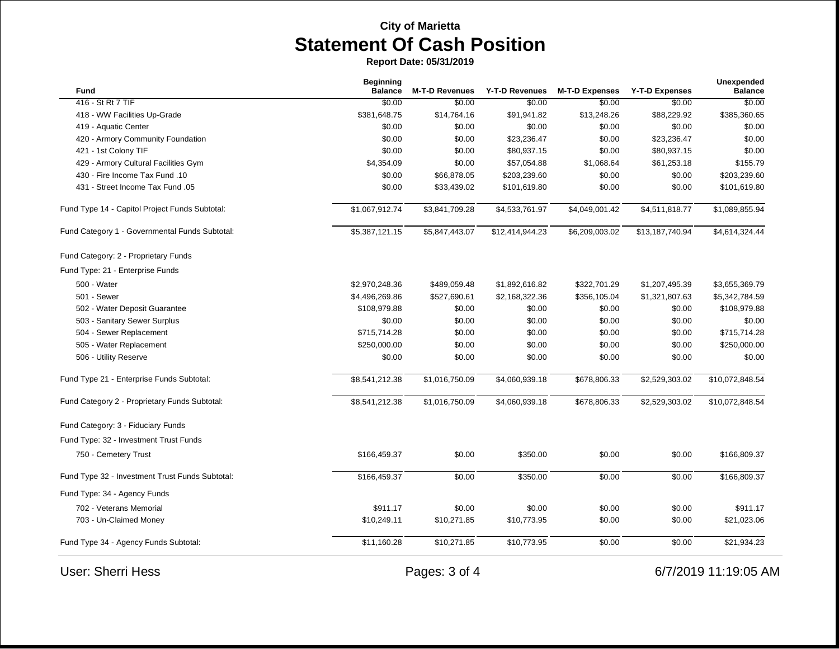| Fund                                            | <b>Beginning</b><br><b>Balance</b> | <b>M-T-D Revenues</b> | Y-T-D Revenues  | <b>M-T-D Expenses</b> | <b>Y-T-D Expenses</b> | Unexpended<br><b>Balance</b> |
|-------------------------------------------------|------------------------------------|-----------------------|-----------------|-----------------------|-----------------------|------------------------------|
| 416 - St Rt 7 TIF                               | \$0.00                             | \$0.00                | \$0.00          | \$0.00                | \$0.00                | \$0.00                       |
| 418 - WW Facilities Up-Grade                    | \$381,648.75                       | \$14,764.16           | \$91,941.82     | \$13,248.26           | \$88,229.92           | \$385,360.65                 |
| 419 - Aquatic Center                            | \$0.00                             | \$0.00                | \$0.00          | \$0.00                | \$0.00                | \$0.00                       |
| 420 - Armory Community Foundation               | \$0.00                             | \$0.00                | \$23,236.47     | \$0.00                | \$23,236.47           | \$0.00                       |
| 421 - 1st Colony TIF                            | \$0.00                             | \$0.00                | \$80,937.15     | \$0.00                | \$80,937.15           | \$0.00                       |
| 429 - Armory Cultural Facilities Gym            | \$4,354.09                         | \$0.00                | \$57,054.88     | \$1,068.64            | \$61,253.18           | \$155.79                     |
| 430 - Fire Income Tax Fund .10                  | \$0.00                             | \$66,878.05           | \$203,239.60    | \$0.00                | \$0.00                | \$203,239.60                 |
| 431 - Street Income Tax Fund .05                | \$0.00                             | \$33,439.02           | \$101,619.80    | \$0.00                | \$0.00                | \$101,619.80                 |
| Fund Type 14 - Capitol Project Funds Subtotal:  | \$1,067,912.74                     | \$3,841,709.28        | \$4,533,761.97  | \$4,049,001.42        | \$4,511,818.77        | \$1,089,855.94               |
| Fund Category 1 - Governmental Funds Subtotal:  | \$5,387,121.15                     | \$5,847,443.07        | \$12,414,944.23 | \$6,209,003.02        | \$13,187,740.94       | \$4,614,324.44               |
| Fund Category: 2 - Proprietary Funds            |                                    |                       |                 |                       |                       |                              |
| Fund Type: 21 - Enterprise Funds                |                                    |                       |                 |                       |                       |                              |
| 500 - Water                                     | \$2,970,248.36                     | \$489,059.48          | \$1,892,616.82  | \$322,701.29          | \$1,207,495.39        | \$3,655,369.79               |
| 501 - Sewer                                     | \$4,496,269.86                     | \$527,690.61          | \$2,168,322.36  | \$356,105.04          | \$1,321,807.63        | \$5,342,784.59               |
| 502 - Water Deposit Guarantee                   | \$108,979.88                       | \$0.00                | \$0.00          | \$0.00                | \$0.00                | \$108,979.88                 |
| 503 - Sanitary Sewer Surplus                    | \$0.00                             | \$0.00                | \$0.00          | \$0.00                | \$0.00                | \$0.00                       |
| 504 - Sewer Replacement                         | \$715,714.28                       | \$0.00                | \$0.00          | \$0.00                | \$0.00                | \$715,714.28                 |
| 505 - Water Replacement                         | \$250,000.00                       | \$0.00                | \$0.00          | \$0.00                | \$0.00                | \$250,000.00                 |
| 506 - Utility Reserve                           | \$0.00                             | \$0.00                | \$0.00          | \$0.00                | \$0.00                | \$0.00                       |
| Fund Type 21 - Enterprise Funds Subtotal:       | \$8,541,212.38                     | \$1,016,750.09        | \$4,060,939.18  | \$678,806.33          | \$2,529,303.02        | \$10,072,848.54              |
| Fund Category 2 - Proprietary Funds Subtotal:   | \$8,541,212.38                     | \$1,016,750.09        | \$4,060,939.18  | \$678,806.33          | \$2,529,303.02        | \$10,072,848.54              |
| Fund Category: 3 - Fiduciary Funds              |                                    |                       |                 |                       |                       |                              |
| Fund Type: 32 - Investment Trust Funds          |                                    |                       |                 |                       |                       |                              |
| 750 - Cemetery Trust                            | \$166,459.37                       | \$0.00                | \$350.00        | \$0.00                | \$0.00                | \$166,809.37                 |
| Fund Type 32 - Investment Trust Funds Subtotal: | \$166,459.37                       | \$0.00                | \$350.00        | \$0.00                | \$0.00                | \$166,809.37                 |
| Fund Type: 34 - Agency Funds                    |                                    |                       |                 |                       |                       |                              |
| 702 - Veterans Memorial                         | \$911.17                           | \$0.00                | \$0.00          | \$0.00                | \$0.00                | \$911.17                     |
| 703 - Un-Claimed Money                          | \$10,249.11                        | \$10,271.85           | \$10,773.95     | \$0.00                | \$0.00                | \$21,023.06                  |
| Fund Type 34 - Agency Funds Subtotal:           | \$11,160.28                        | \$10,271.85           | \$10,773.95     | \$0.00                | \$0.00                | \$21,934.23                  |
| <b>User: Sherri Hess</b>                        |                                    | Pages: 3 of 4         |                 |                       |                       | 6/7/2019 11:19:05 AM         |